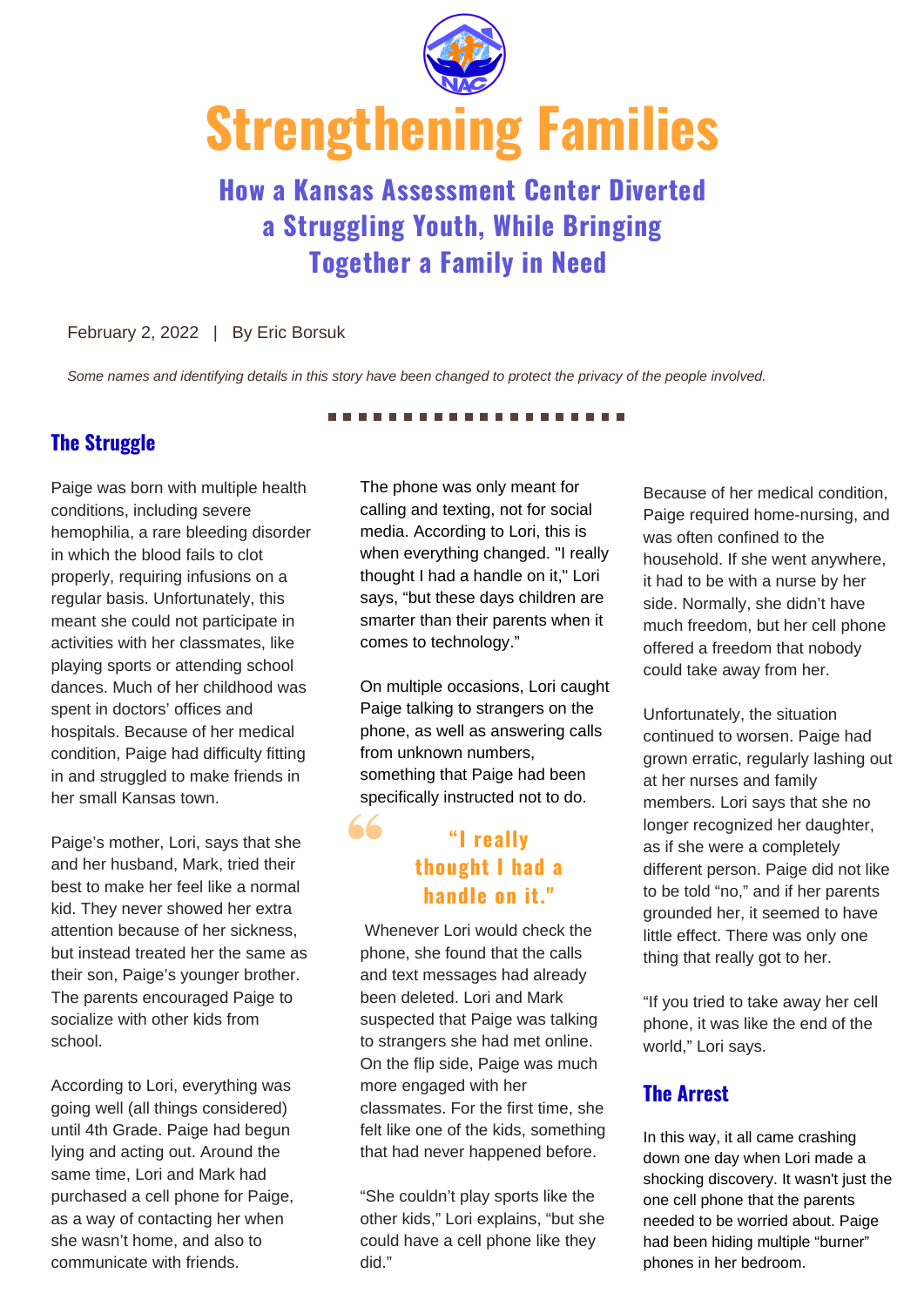

# **a Struggling Youth, While Bringing Together a Family in Need**

#### February 2, 2022 | By Eric Borsuk

*Some names and identifying details in this story have been changed to protect the privacy of the people involved.*

## **The Struggle**

Paige was born with multiple health conditions, including severe hemophilia, a rare bleeding disorder in which the blood fails to clot properly, requiring infusions on a regular basis. Unfortunately, this meant she could not participate in activities with her classmates, like playing sports or attending school dances. Much of her childhood was spent in doctors' offices and hospitals. Because of her medical condition, Paige had difficulty fitting in and struggled to make friends in her small Kansas town. **Example 18 Communicate System States and Struggling Youth, While Bringing**<br>
February 2, 2022 | By Eine Borsuk<br>
Some names and demotive ensign in the second of the second<br> **Howard Struggling Youth, While Bringing**<br>
Februar

Paige's mother, Lori, says that she and her husband, Mark, tried their best to make her feel like a normal kid. They never showed her extra attention because of her sickness, but instead treated her the same as their son, Paige's younger brother. The parents encouraged Paige to socialize with other kids from school.

According to Lori, everything was going well (all things considered) until 4th Grade. Paige had begun lying and acting out. Around the same time, Lori and Mark had purchased a cell phone for Paige, as a way of contacting her when she wasn't home, and also to

The phone was only meant for calling and texting, not for social media. According to Lori, this is when everything changed. "I really thought I had a handle on it," Lori says, "but these days children are smarter than their parents when it comes to technology."

On multiple occasions, Lori caught Paige talking to strangers on the phone, as well as answering calls from unknown numbers, something that Paige had been specifically instructed not to do.

## **"I really thought I had a handIe on it. "**

Whenever Lori would check the phone, she found that the calls and text messages had already been deleted. Lori and Mark suspected that Paige was talking to strangers she had met online. On the flip side, Paige was much more engaged with her classmates. For the first time, she felt like one of the kids, something that had never happened before.

"She couldn't play sports like the other kids," Lori explains, "but she could have a cell phone like they did."

Because of her medical condition, Paige required home-nursing, and was often confined to the household. If she went anywhere, it had to be with a nurse by her side. Normally, she didn't have much freedom, but her cell phone offered a freedom that nobody could take away from her.

Unfortunately, the situation continued to worsen. Paige had grown erratic, regularly lashing out at her nurses and family members. Lori says that she no longer recognized her daughter, as if she were a completely different person. Paige did not like to be told "no," and if her parents grounded her, it seemed to have little effect. There was only one thing that really got to her.

"If you tried to take away her cell phone, it was like the end of the world," Lori says.

#### **The Arrest**

In this way, it all came crashing down one day when Lori made a shocking discovery. It wasn't just the one cell phone that the parents needed to be worried about. Paige had been hiding multiple "burner" phones in her bedroom.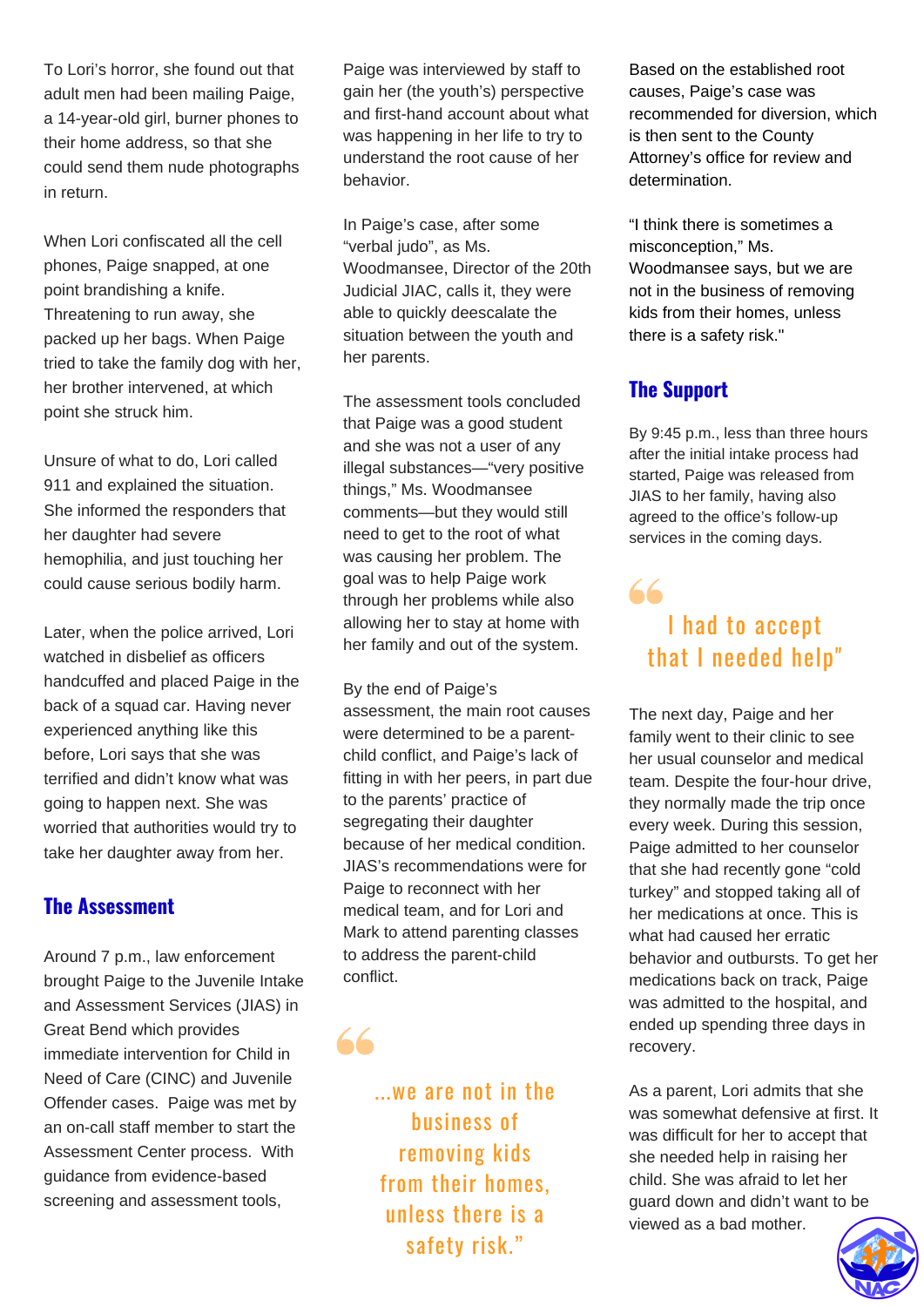To Lori's horror, she found out that adult men had been mailing Paige, a 14-year-old girl, burner phones to their home address, so that she could send them nude photographs in return.

When Lori confiscated all the cell phones, Paige snapped, at one point brandishing a knife. Threatening to run away, she packed up her bags. When Paige tried to take the family dog with her, her brother intervened, at which point she struck him.

Unsure of what to do, Lori called 911 and explained the situation. She informed the responders that her daughter had severe hemophilia, and just touching her could cause serious bodily harm.

Later, when the police arrived, Lori watched in disbelief as officers handcuffed and placed Paige in the back of a squad car. Having never experienced anything like this before, Lori says that she was terrified and didn't know what was going to happen next. She was worried that authorities would try to take her daughter away from her.

#### **The Assessment**

Around 7 p.m., law enforcement brought Paige to the Juvenile Intake and Assessment Services (JIAS) in Great Bend which provides immediate intervention for Child in Need of Care (CINC) and Juvenile Offender cases. Paige was met by an on-call staff member to start the Assessment Center process. With guidance from evidence-based screening and assessment tools,

Paige was interviewed by staff to gain her (the youth's) perspective and first-hand account about what was happening in her life to try to understand the root cause of her behavior.

In Paige's case, after some "verbal judo", as Ms. Woodmansee, Director of the 20th Judicial JIAC, calls it, they were able to quickly deescalate the situation between the youth and her parents.

The assessment tools concluded that Paige was a good student and she was not a user of any illegal substances—"very positive things," Ms. Woodmansee comments—but they would still need to get to the root of what was causing her problem. The goal was to help Paige work through her problems while also allowing her to stay at home with her family and out of the system.

By the end of Paige's

assessment, the main root causes were determined to be a parentchild conflict, and Paige's lack of fitting in with her peers, in part due to the parents' practice of segregating their daughter because of her medical condition. JIAS's recommendations were for Paige to reconnect with her medical team, and for Lori and Mark to attend parenting classes to address the parent-child conflict.

...we are not in the business of removing kids from their homes, unless there is a safety risk. "

66

Based on the established root causes, Paige's case was recommended for diversion, which is then sent to the County Attorney's office for review and determination.

"I think there is sometimes a misconception," Ms. Woodmansee says, but we are not in the business of removing kids from their homes, unless there is a safety risk."

## **The Support**

By 9:45 p.m., less than three hours after the initial intake process had started, Paige was released from JIAS to her family, having also agreed to the office's follow-up services in the coming days.

## $66$ I had to accept that I needed help"

The next day, Paige and her family went to their clinic to see her usual counselor and medical team. Despite the four-hour drive, they normally made the trip once every week. During this session, Paige admitted to her counselor that she had recently gone "cold turkey" and stopped taking all of her medications at once. This is what had caused her erratic behavior and outbursts. To get her medications back on track, Paige was admitted to the hospital, and ended up spending three days in recovery.

As a parent, Lori admits that she was somewhat defensive at first. It was difficult for her to accept that she needed help in raising her child. She was afraid to let her guard down and didn't want to be viewed as a bad mother.

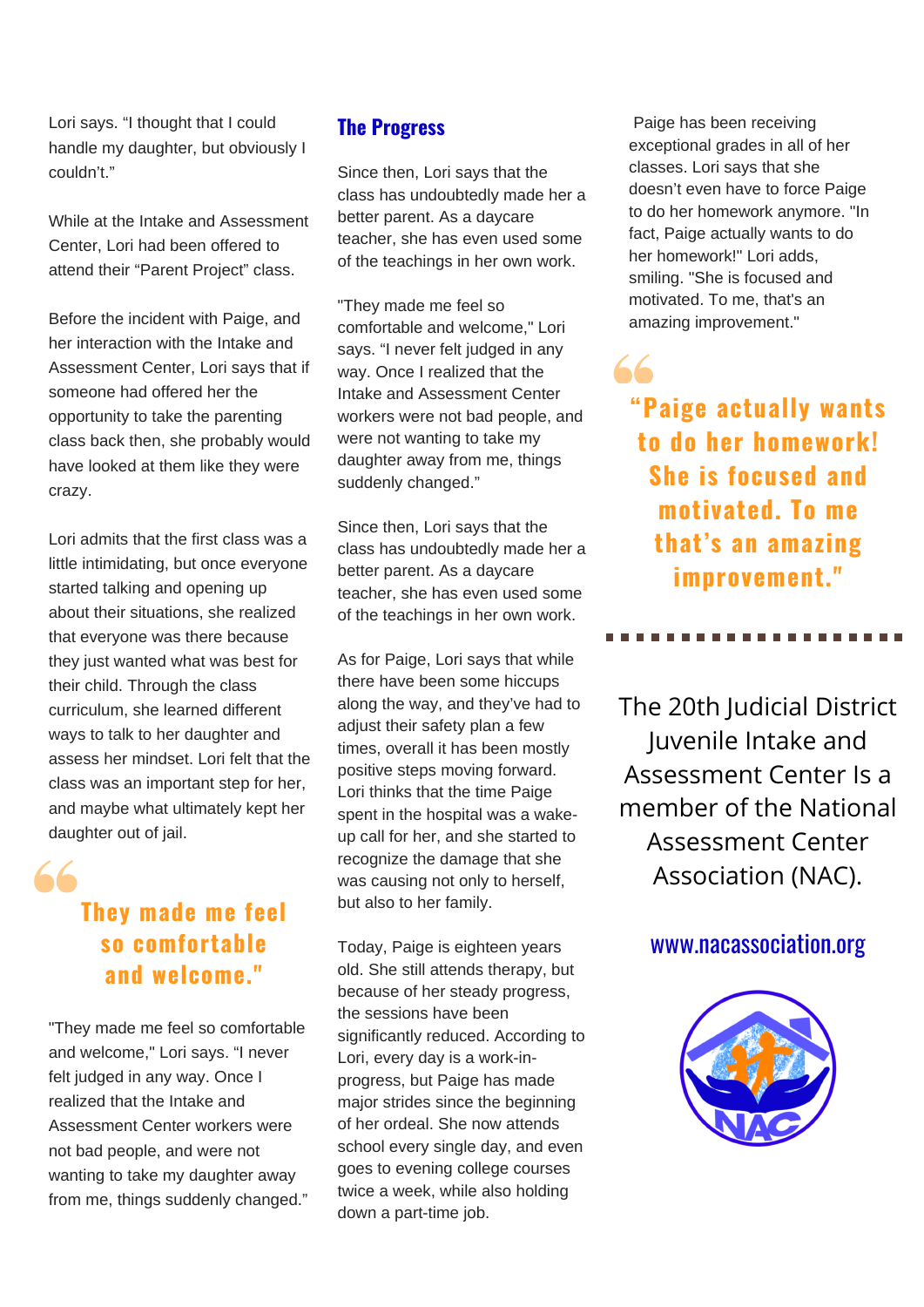Lori says. "I thought that I could handle my daughter, but obviously I couldn't."

While at the Intake and Assessment Center, Lori had been offered to attend their "Parent Project" class.

Before the incident with Paige, and her interaction with the Intake and Assessment Center, Lori says that if someone had offered her the opportunity to take the parenting class back then, she probably would have looked at them like they were crazy.

Lori admits that the first class was a little intimidating, but once everyone started talking and opening up about their situations, she realized that everyone was there because they just wanted what was best for their child. Through the class curriculum, she learned different ways to talk to her daughter and assess her mindset. Lori felt that the class was an important step for her, and maybe what ultimately kept her daughter out of jail.

# **They made me feel so comfortable and welcome. "**

 $66$ 

"They made me feel so comfortable and welcome," Lori says. "I never felt judged in any way. Once I realized that the Intake and Assessment Center workers were not bad people, and were not wanting to take my daughter away from me, things suddenly changed."

### **The Progress**

Since then, Lori says that the class has undoubtedly made her a better parent. As a daycare teacher, she has even used some of the teachings in her own work.

"They made me feel so comfortable and welcome," Lori says. "I never felt judged in any way. Once I realized that the Intake and Assessment Center workers were not bad people, and were not wanting to take my daughter away from me, things suddenly changed."

Since then, Lori says that the class has undoubtedly made her a better parent. As a daycare teacher, she has even used some of the teachings in her own work.

As for Paige, Lori says that while there have been some hiccups along the way, and they've had to adjust their safety plan a few times, overall it has been mostly positive steps moving forward. Lori thinks that the time Paige spent in the hospital was a wakeup call for her, and she started to recognize the damage that she was causing not only to herself, but also to her family.

Today, Paige is eighteen years old. She still attends therapy, but because of her steady progress, the sessions have been significantly reduced. According to Lori, every day is a work-inprogress, but Paige has made major strides since the beginning of her ordeal. She now attends school every single day, and even goes to evening college courses twice a week, while also holding down a part-time job.

Paige has been receiving exceptional grades in all of her classes. Lori says that she doesn't even have to force Paige to do her homework anymore. "In fact, Paige actually wants to do her homework!" Lori adds, smiling. "She is focused and motivated. To me, that's an amazing improvement."

66

# **"Paige actually wants to do her homework! She is focused and motivated. To me that's an amazing improvement. "**

The 20th Judicial District Juvenile Intake and Assessment Center Is a member of the National Assessment Center Association (NAC).

## www.nacassociation.org